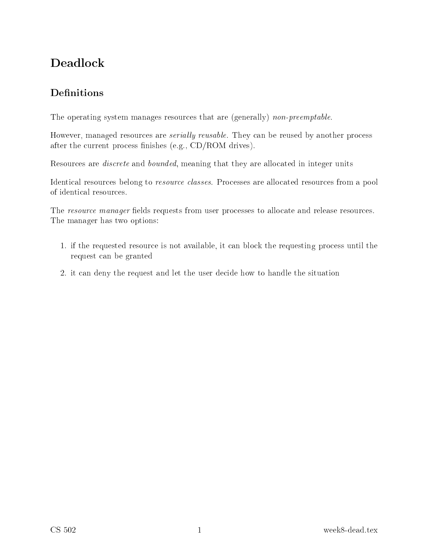# Deadlo
k

# **Definitions**

The operating system manages resources that are (generally) *non-preemptable*.

However, managed resources are *serially reusable*. They can be reused by another process after the current process finishes (e.g., CD/ROM drives).

Resources are *discrete* and *bounded*, meaning that they are allocated in integer units

Identical resources belong to *resource classes*. Processes are allocated resources from a pool of identi
al resour
es.

The resource manager fields requests from user processes to allocate and release resources. The manager has two options:

- 1. if the requested resour
e is not available, it an blo
k the requesting pro
ess until the request an be granted
- 2. it can deny the request and let the user decide how to handle the situation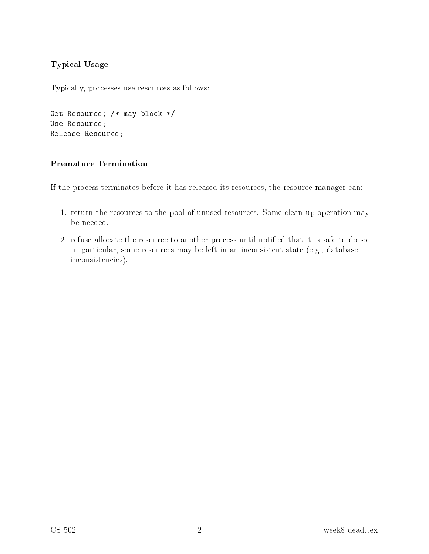#### **Typical Usage**

Typically, processes use resources as follows:

```
Get Resource; /* may block */
Use Resource;
Release Resource;
```
#### **Premature Termination**

If the process terminates before it has released its resources, the resource manager can:

- 1. return the resources to the pool of unused resources. Some clean up operation may be needed.
- 2. refuse allocate the resource to another process until notified that it is safe to do so. In particular, some resources may be left in an inconsistent state (e.g., database inconsistencies).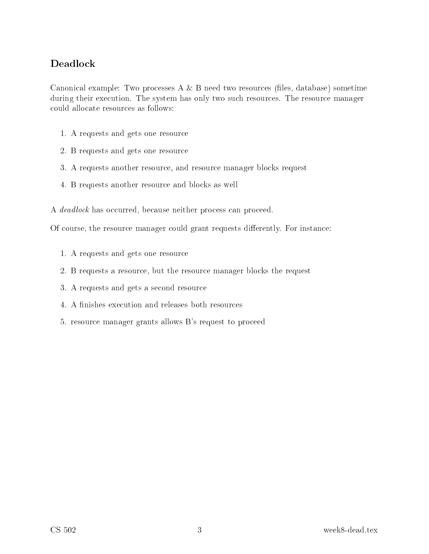#### **Deadlock**

Canonical example: Two processes  $A \& B$  need two resources (files, database) sometime during their execution. The system has only two such resources. The resource manager could allocate resources as follows:

- 1. A requests and gets one resource
- 2. B requests and gets one resource
- 3. A requests another resource, and resource manager blocks request
- 4. B requests another resource and blocks as well

A *deadlock* has occurred, because neither process can proceed.

Of course, the resource manager could grant requests differently. For instance:

- 1. A requests and gets one resource
- 2. B requests a resource, but the resource manager blocks the request
- 3. A requests and gets a second resource
- 4. A finishes execution and releases both resources
- 5. resource manager grants allows B's request to proceed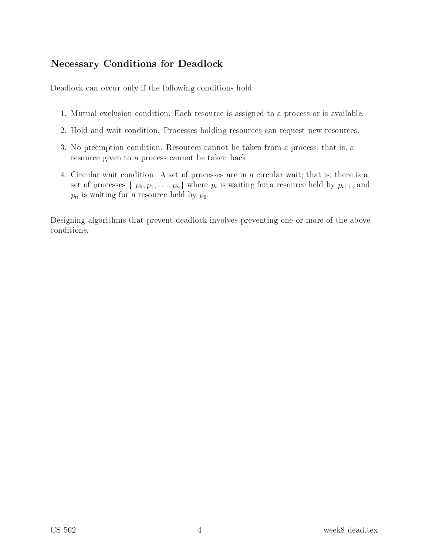### **Necessary Conditions for Deadlock**

Deadlock can occur only if the following conditions hold:

- 1. Mutual exclusion condition. Each resource is assigned to a process or is available.
- 2. Hold and wait condition. Processes holding resources can request new resources.
- 3. No preemption condition. Resources cannot be taken from a process; that is, a resource given to a process cannot be taken back
- 4. Circular wait condition. A set of processes are in a circular wait; that is, there is a set of processes  $\{p_0, p_1, \ldots, p_n\}$  where  $p_i$  is waiting for a resource held by  $p_{i+1}$ , and  $p_n$  is waiting for a resource held by  $p_0$ .

Designing algorithms that prevent deadlock involves preventing one or more of the above conditions.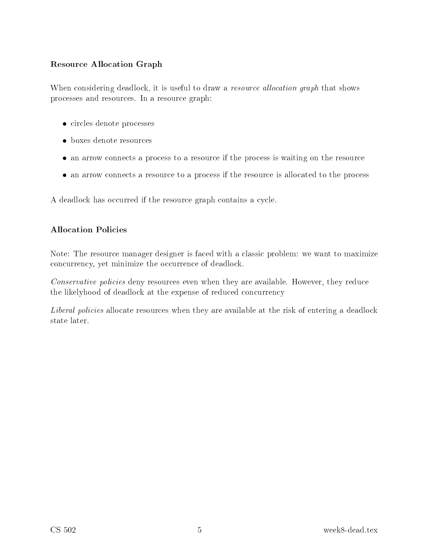#### Resour
e Allo
ation Graph

When considering deadlock, it is useful to draw a *resource allocation graph* that shows pro
esses and resour
es. In a resour
e graph:

- ir
les denote pro
esses
- $\bullet$  boxes denote resources
- an arrow to a province it was to a resource province in the resource  $\alpha$
- ate the resources if the resources if the processes if the resources in the resources if the resourc

A deadlock has occurred if the resource graph contains a cycle.

#### **Allocation Policies**

Note: The resource manager designer is faced with a classic problem: we want to maximize concurrency, yet minimize the occurrence of deadlock.

Conservative policies deny resources even when they are available. However, they reduce the likelyhood of deadlock at the expense of reduced concurrency

Liberal policies allocate resources when they are available at the risk of entering a deadlock state later.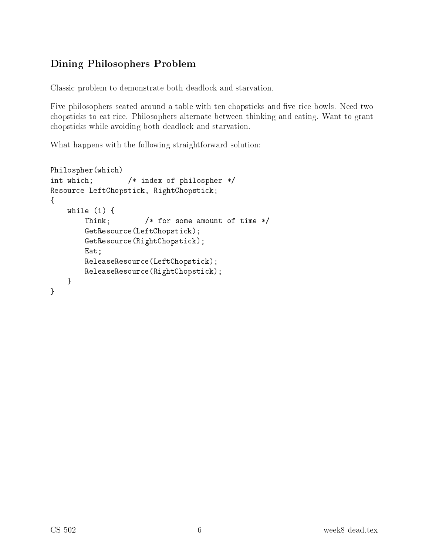## Dining Philosophers Problem

Classi problem to demonstrate both deadlo
k and starvation.

Five philosophers seated around a table with ten chopsticks and five rice bowls. Need two hopsti
ks to eat ri
e. Philosophers alternate between thinking and eating. Want to grant hopsti
ks while avoiding both deadlo
k and starvation.

What happens with the following straightforward solution:

```
Philospher(whi
h)
int whi
h; /* index of philospher */
Resource LeftChopstick, RightChopstick;
\mathcal{L}while (1) {
        Think; /* for some amount of time */
        GetResource(LeftChopstick);
        GetResour
e(RightChopsti
k);
        Eat;
        ReleaseResour
e(LeftChopsti
k);
        ReleaseResour
e(RightChopsti
k);
    }
}
```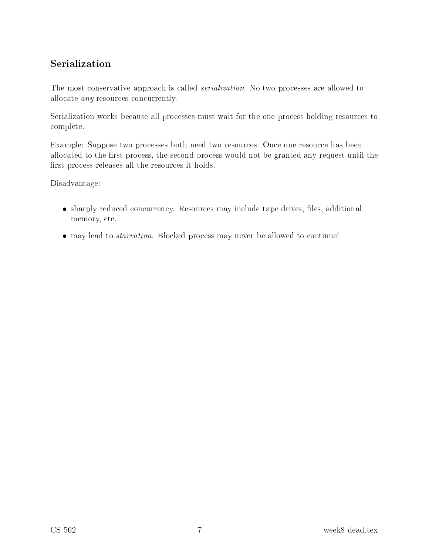### Serialization

The most conservative approach is called *serialization*. No two processes are allowed to allocate *any* resources concurrently.

Serialization works because all processes must wait for the one process holding resources to omplete.

Example: Suppose two processes both need two resources. Once one resource has been allocated to the first process, the second process would not be granted any request until the first process releases all the resources it holds.

Disadvantage:

- sharply redu
ed on
urren
y. Resour
es may in
lude tape drives, les, additional memory, et
.
- may lead to starvation. Blo
ked pro
ess may never be allowed to ontinue!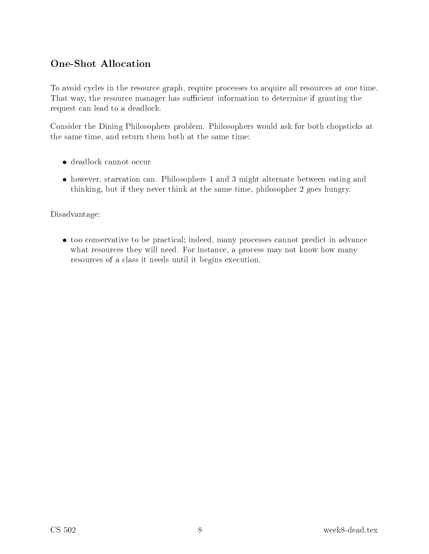## **One-Shot Allocation**

To avoid cycles in the resource graph, require processes to acquire all resources at one time. That way, the resource manager has sufficient information to determine if granting the request can lead to a deadlock.

Consider the Dining Philosophers problem. Philosophers would ask for both chopsticks at the same time, and return them both at the same time:

- $\bullet$  deadlock cannot occur
- however, starvation can. Philosophers 1 and 3 might alternate between eating and thinking, but if they never think at the same time, philosopher 2 goes hungry.

Disadvantage:

• too conservative to be practical; indeed, many processes cannot predict in advance what resources they will need. For instance, a process may not know how many resources of a class it needs until it begins execution.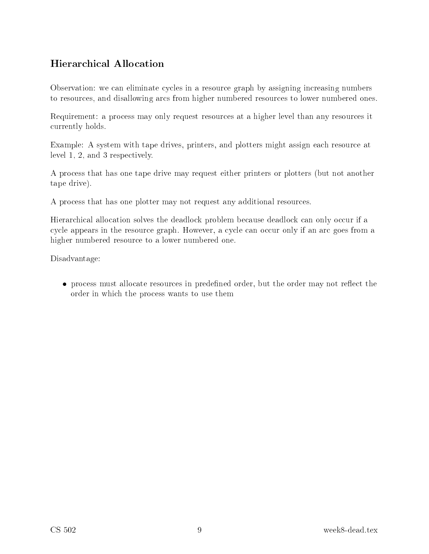### Hierarchical Allocation

Observation: we can eliminate cycles in a resource graph by assigning increasing numbers to resour
es, and disallowing ar
s from higher numbered resour
es to lower numbered ones.

Requirement: a process may only request resources at a higher level than any resources it urrently holds.

Example: A system with tape drives, printers, and plotters might assign each resource at level 1, 2, and 3 respe
tively.

A pro
ess that has one tape drive may request either printers or plotters (but not another tape drive).

A pro
ess that has one plotter may not request any additional resour
es.

Hierarchical allocation solves the deadlock problem because deadlock can only occur if a cycle appears in the resource graph. However, a cycle can occur only if an arc goes from a higher numbered resour
e to a lower numbered one.

Disadvantage:

process must allow the contract matter and processes in predeceptions are the second matter order that order in whi
h the pro
ess wants to use them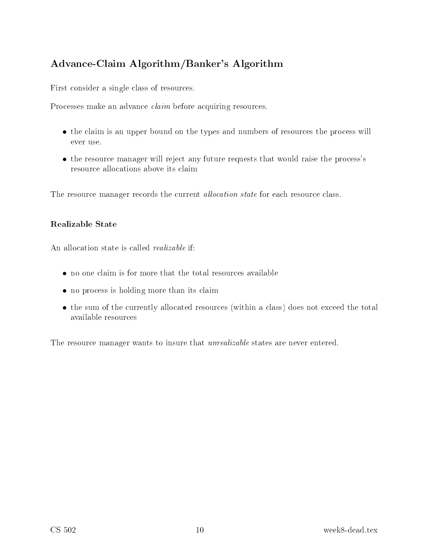## Advan
e-Claim Algorithm/Banker's Algorithm

First consider a single class of resources.

Processes make an advance *claim* before acquiring resources.

- the content of the types and numbers and the types will be content and numbers and numbers of resources the pro ever use.
- the resource manager will reject any future requests that would raise the process's resour
e allo
ations above its laim

The resource manager records the current *allocation state* for each resource class.

#### **Realizable State**

An allocation state is called *realizable* if:

- 
- no province in its holding more than its common
- the sum of the sum of the total control with a set of the total control of the total control to the available resources

The resource manager wants to insure that *unrealizable* states are never entered.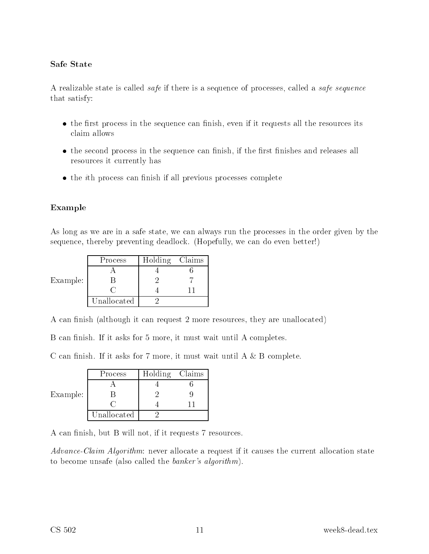#### Safe State

A realizable state is called *safe* if there is a sequence of processes, called a *safe sequence* that satisfy:

- the control protection and the sequences it reduced conditions, the control the resource all the resources all laim allows
- the second process in the sequence can the sequence of  $\mathcal{L}_{\mathcal{A}}$ resour
es it urrently has
- the ith province the contract of the province province and province the property

#### Example

As long as we are in a safe state, we can always run the processes in the order given by the sequence, thereby preventing deadlock. (Hopefully, we can do even better!)

| Example: | Process     | Holding Claims |  |
|----------|-------------|----------------|--|
|          |             |                |  |
|          |             |                |  |
|          |             |                |  |
|          | Unallocated |                |  |

A can finish (although it can request 2 more resources, they are unallocated)

B can finish. If it asks for 5 more, it must wait until A completes.

C can finish. If it asks for 7 more, it must wait until  $A \& B$  complete.

| Example: | Process     | Holding Claims |  |
|----------|-------------|----------------|--|
|          |             |                |  |
|          |             |                |  |
|          |             |                |  |
|          | Unallocated |                |  |

A can finish, but B will not, if it requests 7 resources.

Advance-Claim Algorithm: never allocate a request if it causes the current allocation state to become unsafe (also called the *banker's algorithm*).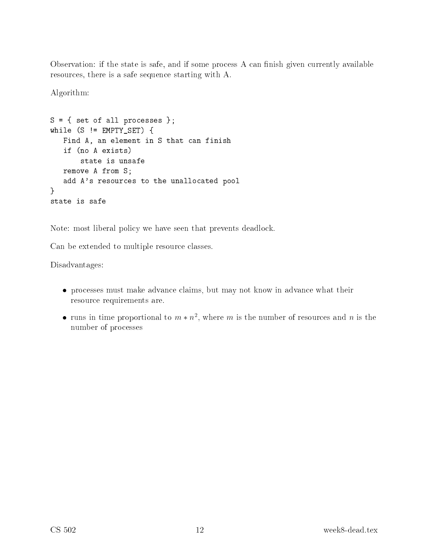Observation: if the state is safe, and if some process A can finish given currently available resour
es, there is a safe sequen
e starting with A.

Algorithm:

```
S = \{ set of all processes };while (S \leq EMPTY_SET) {
   Find A, an element in S that can finish
   if (no A exists)
       state is unsafe
   remove A from S;
   add A's resources to the unallocated pool
}
state is safe
```
Note: most liberal policy we have seen that prevents deadlock.

Can be extended to multiple resource classes.

Disadvantages:

- pro
esses must make advan
e laims, but may not know in advan
e what their resour
e requirements are.
- $\bullet$  runs in time proportional to  $m * n$ , where  $m$  is the number of resources and  $n$  is the number of pro
esses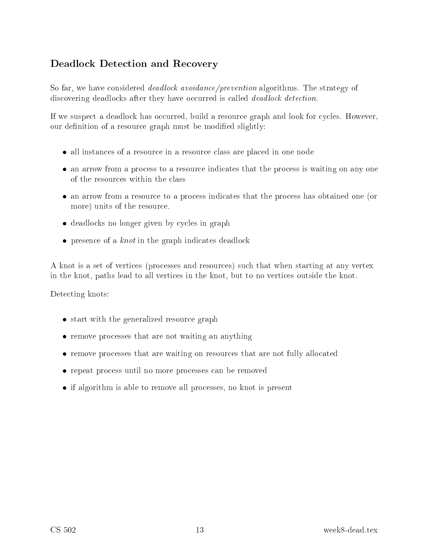#### Deadlock Detection and Recovery

So far, we have considered *deadlock avoidance/prevention* algorithms. The strategy of discovering deadlocks after they have occurred is called *deadlock detection*.

If we suspect a deadlock has occurred, build a resource graph and look for cycles. However, our definition of a resource graph must be modified slightly:

- es of a resource in a resource in a resource in a resource in a resource in a resource in a resource in a reso
- an arrow from a pro
ess to a resour
e indi
ates that the pro
ess is waiting on any one of the resources within the class
- an ates to a problem the problems in the problems of the problems of the problems on the problems of the problem more) units of the resour
e.
- deadlo
ks no longer given by y
les in graph
- presente at a contract the contract of an indicate and contract the

A knot is a set of verti
es (pro
esses and resour
es) su
h that when starting at any vertex in the knot, paths lead to all verti
es in the knot, but to no verti
es outside the knot.

Detecting knots:

- start with the graphicalized resource the gaings of
- remove pro
esses that are not waiting an anything
- remove province that was there are not fully are the second on the second company of  $\mathbb{R}^n$
- repeat province more province province and an annual more processes and
- if algorithm is able to remove all pro
esses, no knot is present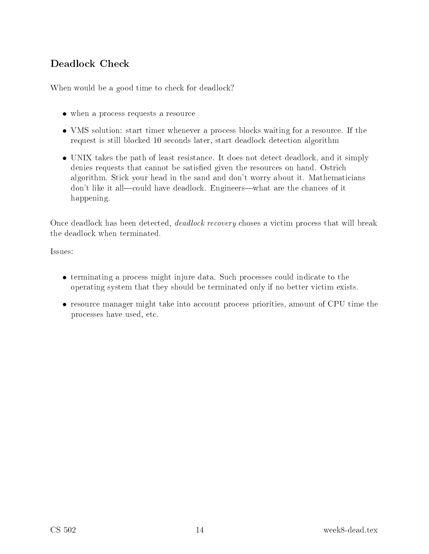# Deadlo
k Che
k

When would be a good time to check for deadlock?

- when a provide a request as a request to a resource of the resource of the second state of the second state of
- value time time a resource time and the start time and the start of the start of the start of the start of the request is still blocked 10 seconds later, start deadlock detection algorithm
- United theory that paths it simult simplified the simulation that it simulates and it simultary part denies requests that cannot be satisfied given the resources on hand. Ostrich algorithm. Stick your head in the sand and don't worry about it. Mathematicians don't like it all—could have deadlock. Engineers—what are the chances of it happening.

Once deadlock has been detected, *deadlock recovery* choses a victim process that will break the deadlo
k when terminated.

Issues:

- terminating a problem ingles injure data. Such provided to the such at the such operating system that they should be terminated only if no better vi
tim exists.
- resources <del>into any product the into and the production</del> production that it is a complete the complete the complete pro
esses have used, et
.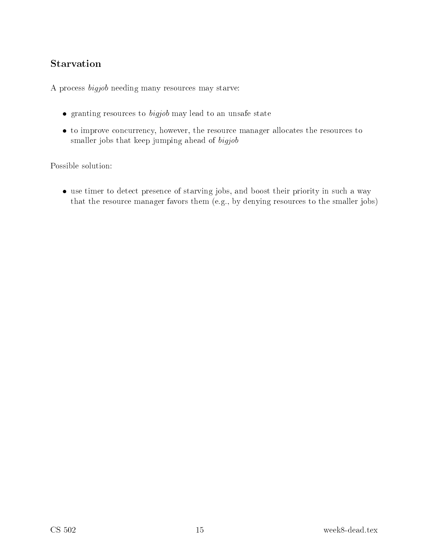### Starvation

A process *bigjob* needing many resources may starve:

- $\bullet$  granting resources to  $bigjob$  may lead to an unsafe state
- to improve concurrency, however, the resource manager allocates the resources to smaller jobs that keep jumping ahead of bigjob

Possible solution:

• use timer to detect presence of starving jobs, and boost their priority in such a way that the resource manager favors them (e.g., by denying resources to the smaller jobs)